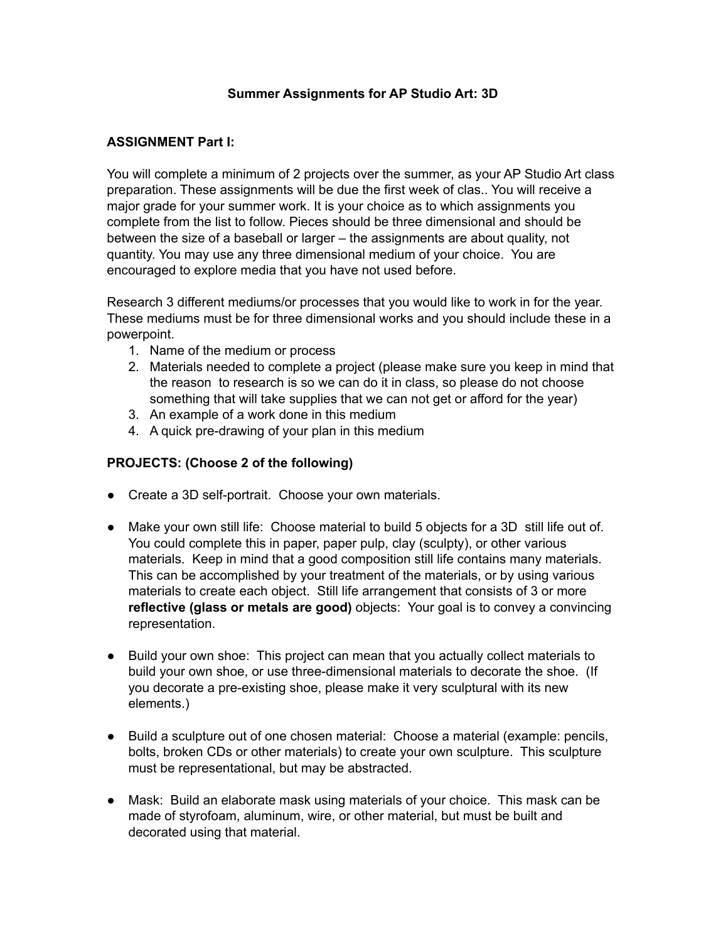#### **Summer Assignments for AP Studio Art: 3D**

### **ASSIGNMENT Part I:**

You will complete a minimum of 2 projects over the summer, as your AP Studio Art class preparation. These assignments will be due the first week of clas.. You will receive a major grade for your summer work. It is your choice as to which assignments you complete from the list to follow. Pieces should be three dimensional and should be between the size of a baseball or larger – the assignments are about quality, not quantity. You may use any three dimensional medium of your choice. You are encouraged to explore media that you have not used before.

Research 3 different mediums/or processes that you would like to work in for the year. These mediums must be for three dimensional works and you should include these in a powerpoint.

- 1. Name of the medium or process
- 2. Materials needed to complete a project (please make sure you keep in mind that the reason to research is so we can do it in class, so please do not choose something that will take supplies that we can not get or afford for the year)
- 3. An example of a work done in this medium
- 4. A quick pre-drawing of your plan in this medium

### **PROJECTS: (Choose 2 of the following)**

- Create a 3D self-portrait. Choose your own materials.
- Make your own still life: Choose material to build 5 objects for a 3D still life out of. You could complete this in paper, paper pulp, clay (sculpty), or other various materials. Keep in mind that a good composition still life contains many materials. This can be accomplished by your treatment of the materials, or by using various materials to create each object. Still life arrangement that consists of 3 or more **reflective (glass or metals are good)** objects: Your goal is to convey a convincing representation.
- Build your own shoe: This project can mean that you actually collect materials to build your own shoe, or use three-dimensional materials to decorate the shoe. (If you decorate a pre-existing shoe, please make it very sculptural with its new elements.)
- Build a sculpture out of one chosen material: Choose a material (example: pencils, bolts, broken CDs or other materials) to create your own sculpture. This sculpture must be representational, but may be abstracted.
- **●** Mask: Build an elaborate mask using materials of your choice. This mask can be made of styrofoam, aluminum, wire, or other material, but must be built and decorated using that material.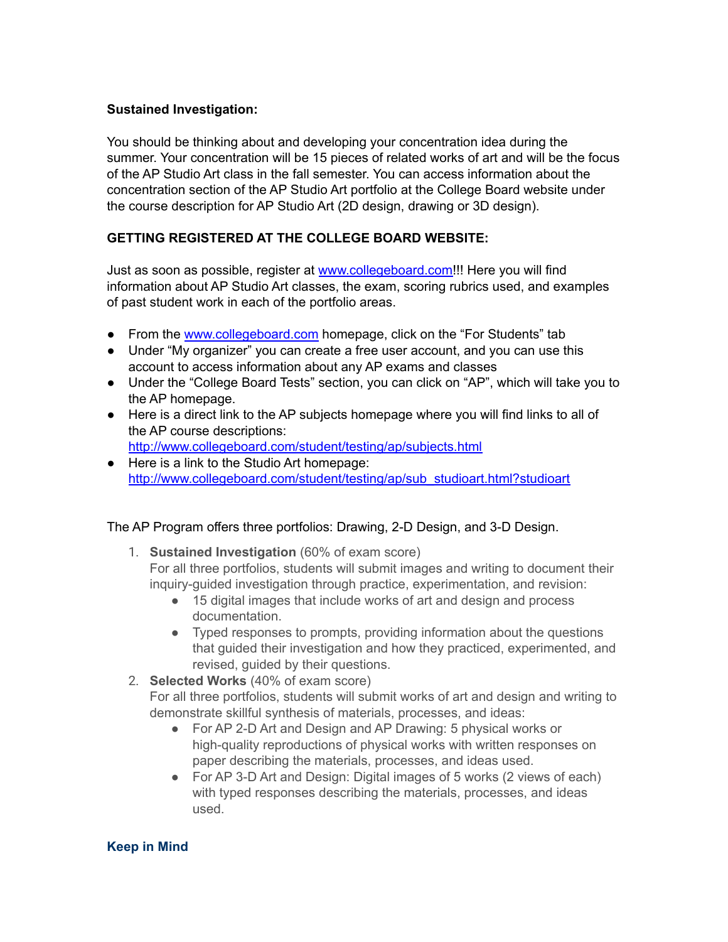### **Sustained Investigation:**

You should be thinking about and developing your concentration idea during the summer. Your concentration will be 15 pieces of related works of art and will be the focus of the AP Studio Art class in the fall semester. You can access information about the concentration section of the AP Studio Art portfolio at the College Board website under the course description for AP Studio Art (2D design, drawing or 3D design).

# **GETTING REGISTERED AT THE COLLEGE BOARD WEBSITE:**

Just as soon as possible, register at [www.collegeboard.com!](http://www.collegeboard.com/)!! Here you will find information about AP Studio Art classes, the exam, scoring rubrics used, and examples of past student work in each of the portfolio areas.

- From the [www.collegeboard.com](http://www.collegeboard.com/) homepage, click on the "For Students" tab
- Under "My organizer" you can create a free user account, and you can use this account to access information about any AP exams and classes
- Under the "College Board Tests" section, you can click on "AP", which will take you to the AP homepage.
- Here is a direct link to the AP subjects homepage where you will find links to all of the AP course descriptions: <http://www.collegeboard.com/student/testing/ap/subjects.html>
- Here is a link to the Studio Art homepage: [http://www.collegeboard.com/student/testing/ap/sub\\_studioart.html?studioart](http://www.collegeboard.com/student/testing/ap/sub_studioart.html?studioart)

# The AP Program offers three portfolios: Drawing, 2-D Design, and 3-D Design.

- 1. **Sustained Investigation** (60% of exam score) For all three portfolios, students will submit images and writing to document their inquiry-guided investigation through practice, experimentation, and revision:
	- 15 digital images that include works of art and design and process documentation.
	- Typed responses to prompts, providing information about the questions that guided their investigation and how they practiced, experimented, and revised, guided by their questions.
- 2. **Selected Works** (40% of exam score)

For all three portfolios, students will submit works of art and design and writing to demonstrate skillful synthesis of materials, processes, and ideas:

- For AP 2-D Art and Design and AP Drawing: 5 physical works or high-quality reproductions of physical works with written responses on paper describing the materials, processes, and ideas used.
- For AP 3-D Art and Design: Digital images of 5 works (2 views of each) with typed responses describing the materials, processes, and ideas used.

# **Keep in Mind**